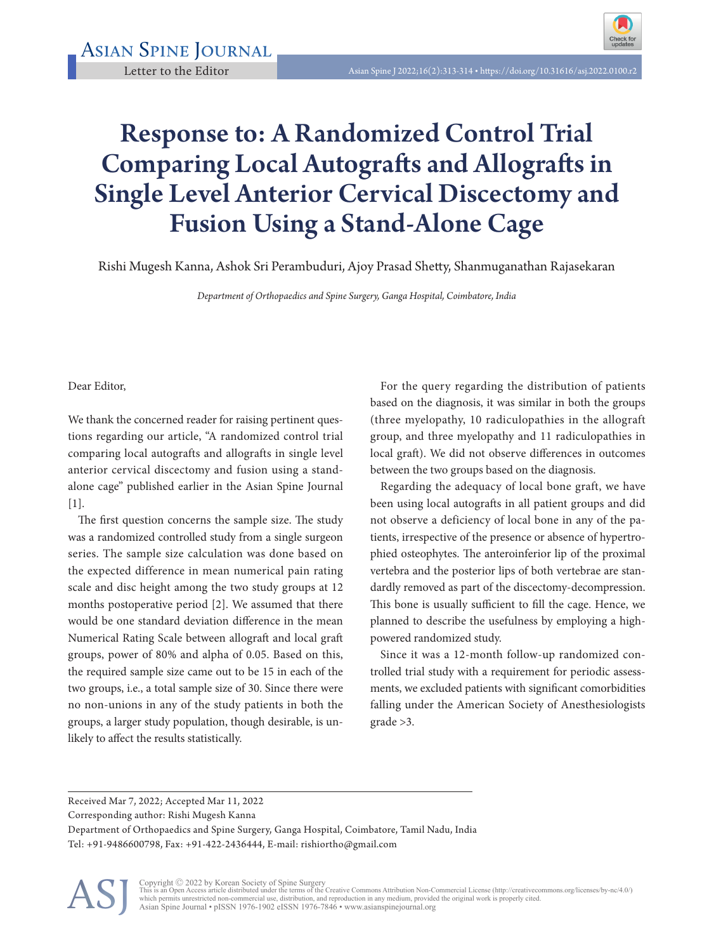

## Response to: A Randomized Control Trial Comparing Local Autografts and Allografts in Single Level Anterior Cervical Discectomy and Fusion Using a Stand-Alone Cage

Rishi Mugesh Kanna, Ashok Sri Perambuduri, Ajoy Prasad Shetty, Shanmuganathan Rajasekaran

*Department of Orthopaedics and Spine Surgery, Ganga Hospital, Coimbatore, India*

Dear Editor,

We thank the concerned reader for raising pertinent questions regarding our article, "A randomized control trial comparing local autografts and allografts in single level anterior cervical discectomy and fusion using a standalone cage" published earlier in the Asian Spine Journal  $[1]$ .

The first question concerns the sample size. The study was a randomized controlled study from a single surgeon series. The sample size calculation was done based on the expected difference in mean numerical pain rating scale and disc height among the two study groups at 12 months postoperative period [2]. We assumed that there would be one standard deviation difference in the mean Numerical Rating Scale between allograft and local graft groups, power of 80% and alpha of 0.05. Based on this, the required sample size came out to be 15 in each of the two groups, i.e., a total sample size of 30. Since there were no non-unions in any of the study patients in both the groups, a larger study population, though desirable, is unlikely to affect the results statistically.

For the query regarding the distribution of patients based on the diagnosis, it was similar in both the groups (three myelopathy, 10 radiculopathies in the allograft group, and three myelopathy and 11 radiculopathies in local graft). We did not observe differences in outcomes between the two groups based on the diagnosis.

Regarding the adequacy of local bone graft, we have been using local autografts in all patient groups and did not observe a deficiency of local bone in any of the patients, irrespective of the presence or absence of hypertrophied osteophytes. The anteroinferior lip of the proximal vertebra and the posterior lips of both vertebrae are standardly removed as part of the discectomy-decompression. This bone is usually sufficient to fill the cage. Hence, we planned to describe the usefulness by employing a highpowered randomized study.

Since it was a 12-month follow-up randomized controlled trial study with a requirement for periodic assessments, we excluded patients with significant comorbidities falling under the American Society of Anesthesiologists grade >3.

Received Mar 7, 2022; Accepted Mar 11, 2022

Corresponding author: Rishi Mugesh Kanna

Department of Orthopaedics and Spine Surgery, Ganga Hospital, Coimbatore, Tamil Nadu, India Tel: +91-9486600798, Fax: +91-422-2436444, E-mail: rishiortho@gmail.com



Copyright © 2022 by Korean Society of Spine Surgery<br>This is an Open Access article distributed under the terms of the Creative Commons Attribution Non-Commercial License (http://creativecommons.org/licenses/by-nc/4.0/)<br>whi Asian Spine Journal • pISSN 1976-1902 eISSN 1976-7846 • www.asianspinejournal.org